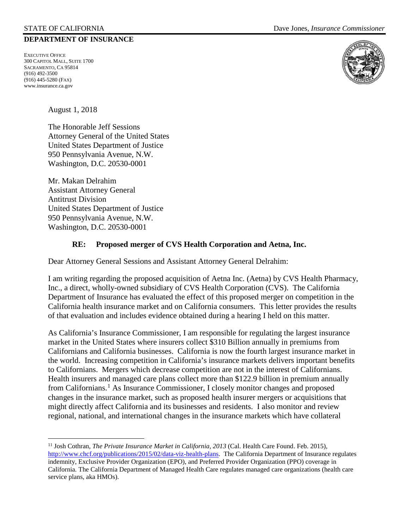#### **DEPARTMENT OF INSURANCE**

EXECUTIVE OFFICE 300 CAPITOL MALL, SUITE 1700 SACRAMENTO, CA 95814 (916) 492-3500 (916) 445-5280 (FAX) www.insurance.ca.gov

August 1, 2018

The Honorable Jeff Sessions Attorney General of the United States United States Department of Justice 950 Pennsylvania Avenue, N.W. Washington, D.C. 20530-0001

Mr. Makan Delrahim Assistant Attorney General Antitrust Division United States Department of Justice 950 Pennsylvania Avenue, N.W. Washington, D.C. 20530-0001

#### **RE: Proposed merger of CVS Health Corporation and Aetna, Inc.**

Dear Attorney General Sessions and Assistant Attorney General Delrahim:

I am writing regarding the proposed acquisition of Aetna Inc. (Aetna) by CVS Health Pharmacy, Inc., a direct, wholly-owned subsidiary of CVS Health Corporation (CVS). The California Department of Insurance has evaluated the effect of this proposed merger on competition in the California health insurance market and on California consumers. This letter provides the results of that evaluation and includes evidence obtained during a hearing I held on this matter.

As California's Insurance Commissioner, I am responsible for regulating the largest insurance market in the United States where insurers collect \$310 Billion annually in premiums from Californians and California businesses. California is now the fourth largest insurance market in the world. Increasing competition in California's insurance markets delivers important benefits to Californians. Mergers which decrease competition are not in the interest of Californians. Health insurers and managed care plans collect more than \$122.9 billion in premium annually from Californians.[1](#page-0-0) As Insurance Commissioner, I closely monitor changes and proposed changes in the insurance market, such as proposed health insurer mergers or acquisitions that might directly affect California and its businesses and residents. I also monitor and review regional, national, and international changes in the insurance markets which have collateral



<span id="page-0-0"></span><sup>&</sup>lt;sup>11</sup> Josh Cothran, *The Private Insurance Market in California*, 2013 (Cal. Health Care Found. Feb. 2015), [http://www.chcf.org/publications/2015/02/data-viz-health-plans.](http://www.chcf.org/publications/2015/02/data-viz-health-plans) The California Department of Insurance regulates indemnity, Exclusive Provider Organization (EPO), and Preferred Provider Organization (PPO) coverage in California. The California Department of Managed Health Care regulates managed care organizations (health care service plans, aka HMOs).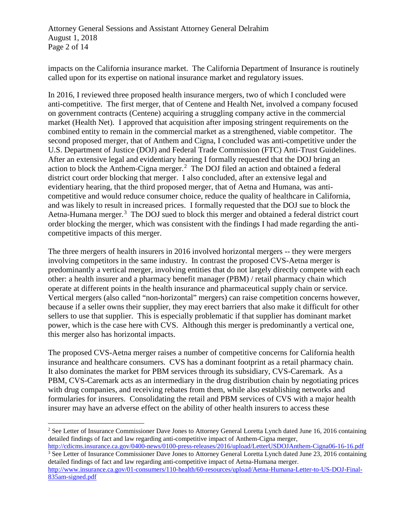Attorney General Sessions and Assistant Attorney General Delrahim August 1, 2018 Page 2 of 14

impacts on the California insurance market. The California Department of Insurance is routinely called upon for its expertise on national insurance market and regulatory issues.

In 2016, I reviewed three proposed health insurance mergers, two of which I concluded were anti-competitive. The first merger, that of Centene and Health Net, involved a company focused on government contracts (Centene) acquiring a struggling company active in the commercial market (Health Net). I approved that acquisition after imposing stringent requirements on the combined entity to remain in the commercial market as a strengthened, viable competitor. The second proposed merger, that of Anthem and Cigna, I concluded was anti-competitive under the U.S. Department of Justice (DOJ) and Federal Trade Commission (FTC) Anti-Trust Guidelines. After an extensive legal and evidentiary hearing I formally requested that the DOJ bring an action to block the Anthem-Cigna merger.<sup>[2](#page-1-0)</sup> The DOJ filed an action and obtained a federal district court order blocking that merger. I also concluded, after an extensive legal and evidentiary hearing, that the third proposed merger, that of Aetna and Humana, was anticompetitive and would reduce consumer choice, reduce the quality of healthcare in California, and was likely to result in increased prices. I formally requested that the DOJ sue to block the Aetna-Humana merger.<sup>[3](#page-1-1)</sup> The DOJ sued to block this merger and obtained a federal district court order blocking the merger, which was consistent with the findings I had made regarding the anticompetitive impacts of this merger.

The three mergers of health insurers in 2016 involved horizontal mergers -- they were mergers involving competitors in the same industry. In contrast the proposed CVS-Aetna merger is predominantly a vertical merger, involving entities that do not largely directly compete with each other: a health insurer and a pharmacy benefit manager (PBM) / retail pharmacy chain which operate at different points in the health insurance and pharmaceutical supply chain or service. Vertical mergers (also called "non-horizontal" mergers) can raise competition concerns however, because if a seller owns their supplier, they may erect barriers that also make it difficult for other sellers to use that supplier. This is especially problematic if that supplier has dominant market power, which is the case here with CVS. Although this merger is predominantly a vertical one, this merger also has horizontal impacts.

The proposed CVS-Aetna merger raises a number of competitive concerns for California health insurance and healthcare consumers. CVS has a dominant footprint as a retail pharmacy chain. It also dominates the market for PBM services through its subsidiary, CVS-Caremark. As a PBM, CVS-Caremark acts as an intermediary in the drug distribution chain by negotiating prices with drug companies, and receiving rebates from them, while also establishing networks and formularies for insurers. Consolidating the retail and PBM services of CVS with a major health insurer may have an adverse effect on the ability of other health insurers to access these

<span id="page-1-0"></span><sup>&</sup>lt;sup>2</sup> See Letter of Insurance Commissioner Dave Jones to Attorney General Loretta Lynch dated June 16, 2016 containing detailed findings of fact and law regarding anti-competitive impact of Anthem-Cigna merger,

<span id="page-1-1"></span><http://cdicms.insurance.ca.gov/0400-news/0100-press-releases/2016/upload/LetterUSDOJAnthem-Cigna06-16-16.pdf> <sup>3</sup> See Letter of Insurance Commissioner Dave Jones to Attorney General Loretta Lynch dated June 23, 2016 containing detailed findings of fact and law regarding anti-competitive impact of Aetna-Humana merger.

[http://www.insurance.ca.gov/01-consumers/110-health/60-resources/upload/Aetna-Humana-Letter-to-US-DOJ-Final-](http://www.insurance.ca.gov/01-consumers/110-health/60-resources/upload/Aetna-Humana-Letter-to-US-DOJ-Final-835am-signed.pdf)[835am-signed.pdf](http://www.insurance.ca.gov/01-consumers/110-health/60-resources/upload/Aetna-Humana-Letter-to-US-DOJ-Final-835am-signed.pdf)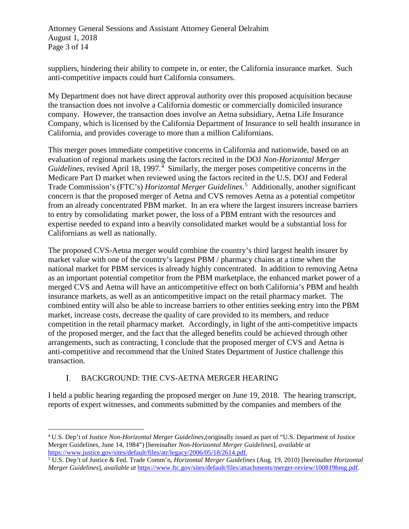Attorney General Sessions and Assistant Attorney General Delrahim August 1, 2018 Page 3 of 14

suppliers, hindering their ability to compete in, or enter, the California insurance market. Such anti-competitive impacts could hurt California consumers.

My Department does not have direct approval authority over this proposed acquisition because the transaction does not involve a California domestic or commercially domiciled insurance company. However, the transaction does involve an Aetna subsidiary, Aetna Life Insurance Company, which is licensed by the California Department of Insurance to sell health insurance in California, and provides coverage to more than a million Californians.

This merger poses immediate competitive concerns in California and nationwide, based on an evaluation of regional markets using the factors recited in the DOJ *Non-Horizontal Merger*  Guidelines, revised April 18, 1997.<sup>[4](#page-2-0)</sup> Similarly, the merger poses competitive concerns in the Medicare Part D market when reviewed using the factors recited in the U.S. DOJ and Federal Trade Commission's (FTC's) *Horizontal Merger Guidelines*. [5](#page-2-1) Additionally, another significant concern is that the proposed merger of Aetna and CVS removes Aetna as a potential competitor from an already concentrated PBM market. In an era where the largest insurers increase barriers to entry by consolidating market power, the loss of a PBM entrant with the resources and expertise needed to expand into a heavily consolidated market would be a substantial loss for Californians as well as nationally.

The proposed CVS-Aetna merger would combine the country's third largest health insurer by market value with one of the country's largest PBM / pharmacy chains at a time when the national market for PBM services is already highly concentrated. In addition to removing Aetna as an important potential competitor from the PBM marketplace, the enhanced market power of a merged CVS and Aetna will have an anticompetitive effect on both California's PBM and health insurance markets, as well as an anticompetitive impact on the retail pharmacy market. The combined entity will also be able to increase barriers to other entities seeking entry into the PBM market, increase costs, decrease the quality of care provided to its members, and reduce competition in the retail pharmacy market. Accordingly, in light of the anti-competitive impacts of the proposed merger, and the fact that the alleged benefits could be achieved through other arrangements, such as contracting, I conclude that the proposed merger of CVS and Aetna is anti-competitive and recommend that the United States Department of Justice challenge this transaction.

#### I. BACKGROUND: THE CVS-AETNA MERGER HEARING

I held a public hearing regarding the proposed merger on June 19, 2018. The hearing transcript, reports of expert witnesses, and comments submitted by the companies and members of the

<span id="page-2-0"></span> <sup>4</sup> U.S. Dep't of Justice *Non-Horizontal Merger Guidelines*,(originally issued as part of "U.S. Department of Justice Merger Guidelines, June 14, 1984") [hereinafter *Non-Horizontal Merger Guidelines*], *available at*  [https://www.justice.gov/sites/default/files/atr/legacy/2006/05/18/2614.pdf.](https://www.justice.gov/sites/default/files/atr/legacy/2006/05/18/2614.pdf)

<span id="page-2-1"></span><sup>5</sup> U.S. Dep't of Justice & Fed. Trade Comm'n, *Horizontal Merger Guidelines* (Aug. 19, 2010) [hereinafter *Horizontal Merger Guidelines*], *available at* [https://www.ftc.gov/sites/default/files/attachments/merger-review/100819hmg.pdf.](https://www.ftc.gov/sites/default/files/attachments/merger-review/100819hmg.pdf)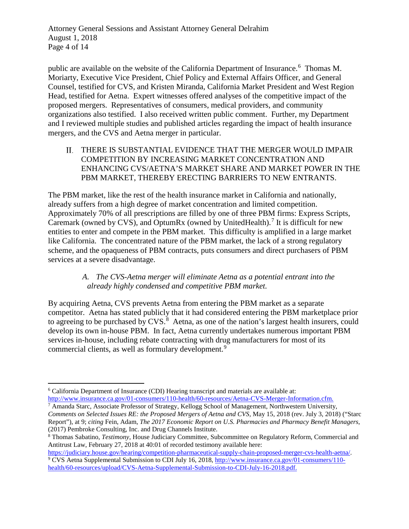Attorney General Sessions and Assistant Attorney General Delrahim August 1, 2018 Page 4 of 14

public are available on the website of the California Department of Insurance.<sup>[6](#page-3-0)</sup> Thomas M. Moriarty, Executive Vice President, Chief Policy and External Affairs Officer, and General Counsel, testified for CVS, and Kristen Miranda, California Market President and West Region Head, testified for Aetna. Expert witnesses offered analyses of the competitive impact of the proposed mergers. Representatives of consumers, medical providers, and community organizations also testified. I also received written public comment. Further, my Department and I reviewed multiple studies and published articles regarding the impact of health insurance mergers, and the CVS and Aetna merger in particular.

THERE IS SUBSTANTIAL EVIDENCE THAT THE MERGER WOULD IMPAIR COMPETITION BY INCREASING MARKET CONCENTRATION AND ENHANCING CVS/AETNA'S MARKET SHARE AND MARKET POWER IN THE PBM MARKET, THEREBY ERECTING BARRIERS TO NEW ENTRANTS.

The PBM market, like the rest of the health insurance market in California and nationally, already suffers from a high degree of market concentration and limited competition. Approximately 70% of all prescriptions are filled by one of three PBM firms: Express Scripts, Caremark (owned by CVS), and OptumRx (owned by UnitedHealth).<sup>[7](#page-3-1)</sup> It is difficult for new entities to enter and compete in the PBM market. This difficulty is amplified in a large market like California. The concentrated nature of the PBM market, the lack of a strong regulatory scheme, and the opaqueness of PBM contracts, puts consumers and direct purchasers of PBM services at a severe disadvantage.

#### *A. The CVS-Aetna merger will eliminate Aetna as a potential entrant into the already highly condensed and competitive PBM market.*

By acquiring Aetna, CVS prevents Aetna from entering the PBM market as a separate competitor. Aetna has stated publicly that it had considered entering the PBM marketplace prior to agreeing to be purchased by CVS.<sup>[8](#page-3-2)</sup> Aetna, as one of the nation's largest health insurers, could develop its own in-house PBM. In fact, Aetna currently undertakes numerous important PBM services in-house, including rebate contracting with drug manufacturers for most of its commercial clients, as well as formulary development.<sup>[9](#page-3-3)</sup>

<span id="page-3-0"></span> <sup>6</sup> California Department of Insurance (CDI) Hearing transcript and materials are available at: [http://www.insurance.ca.gov/01-consumers/110-health/60-resources/Aetna-CVS-Merger-Information.cfm.](http://www.insurance.ca.gov/01-consumers/110-health/60-resources/Aetna-CVS-Merger-Information.cfm)

<span id="page-3-1"></span><sup>&</sup>lt;sup>7</sup> Amanda Starc, Associate Professor of Strategy, Kellogg School of Management, Northwestern University, *Comments on Selected Issues RE: the Proposed Mergers of Aetna and CVS,* May 15, 2018 (rev. July 3, 2018) ("Starc Report"), at 9; *citing* Fein, Adam, *The 2017 Economic Report on U.S. Pharmacies and Pharmacy Benefit Managers*, (2017) Pembroke Consulting, Inc. and Drug Channels Institute.

<span id="page-3-2"></span><sup>8</sup> Thomas Sabatino, *Testimony*, House Judiciary Committee, Subcommittee on Regulatory Reform, Commercial and Antitrust Law, February 27, 2018 at 40:01 of recorded testimony available here:

<span id="page-3-3"></span>[https://judiciary.house.gov/hearing/competition-pharmaceutical-supply-chain-proposed-merger-cvs-health-aetna/.](https://judiciary.house.gov/hearing/competition-pharmaceutical-supply-chain-proposed-merger-cvs-health-aetna/) <sup>9</sup> CVS Aetna Supplemental Submission to CDI July 16, 2018, [http://www.insurance.ca.gov/01-consumers/110](http://www.insurance.ca.gov/01-consumers/110-health/60-resources/upload/CVS-Aetna-Supplemental-Submission-to-CDI-July-16-2018.pdf) [health/60-resources/upload/CVS-Aetna-Supplemental-Submission-to-CDI-July-16-2018.pdf.](http://www.insurance.ca.gov/01-consumers/110-health/60-resources/upload/CVS-Aetna-Supplemental-Submission-to-CDI-July-16-2018.pdf)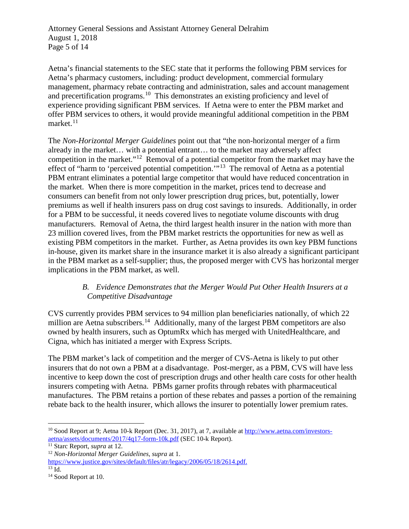Attorney General Sessions and Assistant Attorney General Delrahim August 1, 2018 Page 5 of 14

Aetna's financial statements to the SEC state that it performs the following PBM services for Aetna's pharmacy customers, including: product development, commercial formulary management, pharmacy rebate contracting and administration, sales and account management and precertification programs.<sup>10</sup> This demonstrates an existing proficiency and level of experience providing significant PBM services. If Aetna were to enter the PBM market and offer PBM services to others, it would provide meaningful additional competition in the PBM market. $11$ 

The *Non-Horizontal Merger Guidelines* point out that "the non-horizontal merger of a firm already in the market… with a potential entrant… to the market may adversely affect competition in the market."[12](#page-4-2) Removal of a potential competitor from the market may have the effect of "harm to 'perceived potential competition.'"[13](#page-4-3) The removal of Aetna as a potential PBM entrant eliminates a potential large competitor that would have reduced concentration in the market. When there is more competition in the market, prices tend to decrease and consumers can benefit from not only lower prescription drug prices, but, potentially, lower premiums as well if health insurers pass on drug cost savings to insureds. Additionally, in order for a PBM to be successful, it needs covered lives to negotiate volume discounts with drug manufacturers. Removal of Aetna, the third largest health insurer in the nation with more than 23 million covered lives, from the PBM market restricts the opportunities for new as well as existing PBM competitors in the market. Further, as Aetna provides its own key PBM functions in-house, given its market share in the insurance market it is also already a significant participant in the PBM market as a self-supplier; thus, the proposed merger with CVS has horizontal merger implications in the PBM market, as well.

## *B. Evidence Demonstrates that the Merger Would Put Other Health Insurers at a Competitive Disadvantage*

CVS currently provides PBM services to 94 million plan beneficiaries nationally, of which 22 million are Aetna subscribers.<sup>14</sup> Additionally, many of the largest PBM competitors are also owned by health insurers, such as OptumRx which has merged with UnitedHealthcare, and Cigna, which has initiated a merger with Express Scripts.

The PBM market's lack of competition and the merger of CVS-Aetna is likely to put other insurers that do not own a PBM at a disadvantage. Post-merger, as a PBM, CVS will have less incentive to keep down the cost of prescription drugs and other health care costs for other health insurers competing with Aetna. PBMs garner profits through rebates with pharmaceutical manufactures. The PBM retains a portion of these rebates and passes a portion of the remaining rebate back to the health insurer, which allows the insurer to potentially lower premium rates.

<span id="page-4-0"></span> <sup>10</sup> Sood Report at 9; Aetna 10-k Report (Dec. 31, 2017), at 7, available at [http://www.aetna.com/investors](http://www.aetna.com/investors-aetna/assets/documents/2017/4q17-form-10k.pdf)[aetna/assets/documents/2017/4q17-form-10k.pdf](http://www.aetna.com/investors-aetna/assets/documents/2017/4q17-form-10k.pdf) (SEC 10-k Report).<br><sup>11</sup> Starc Report, *supra* at 12.

<span id="page-4-1"></span>

<sup>&</sup>lt;sup>12</sup> Non-Horizontal Merger Guidelines, supra at 1.

<span id="page-4-2"></span>[https://www.justice.gov/sites/default/files/atr/legacy/2006/05/18/2614.pdf.](https://www.justice.gov/sites/default/files/atr/legacy/2006/05/18/2614.pdf)

<span id="page-4-3"></span> $\overline{^{13}$  Id.

<span id="page-4-4"></span><sup>&</sup>lt;sup>14</sup> Sood Report at 10.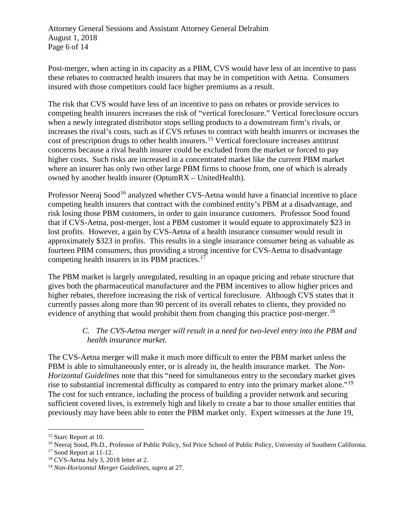Attorney General Sessions and Assistant Attorney General Delrahim August 1, 2018 Page 6 of 14

Post-merger, when acting in its capacity as a PBM, CVS would have less of an incentive to pass these rebates to contracted health insurers that may be in competition with Aetna. Consumers insured with those competitors could face higher premiums as a result.

The risk that CVS would have less of an incentive to pass on rebates or provide services to competing health insurers increases the risk of "vertical foreclosure." Vertical foreclosure occurs when a newly integrated distributor stops selling products to a downstream firm's rivals, or increases the rival's costs, such as if CVS refuses to contract with health insurers or increases the cost of prescription drugs to other health insurers.[15](#page-5-0) Vertical foreclosure increases antitrust concerns because a rival health insurer could be excluded from the market or forced to pay higher costs. Such risks are increased in a concentrated market like the current PBM market where an insurer has only two other large PBM firms to choose from, one of which is already owned by another health insurer (OptumRX – UnitedHealth).

Professor Neeraj Sood<sup>[16](#page-5-1)</sup> analyzed whether CVS-Aetna would have a financial incentive to place competing health insurers that contract with the combined entity's PBM at a disadvantage, and risk losing those PBM customers, in order to gain insurance customers. Professor Sood found that if CVS-Aetna, post-merger, lost a PBM customer it would equate to approximately \$23 in lost profits. However, a gain by CVS-Aetna of a health insurance consumer would result in approximately \$323 in profits. This results in a single insurance consumer being as valuable as fourteen PBM consumers, thus providing a strong incentive for CVS-Aetna to disadvantage competing health insurers in its PBM practices. $17$ 

The PBM market is largely unregulated, resulting in an opaque pricing and rebate structure that gives both the pharmaceutical manufacturer and the PBM incentives to allow higher prices and higher rebates, therefore increasing the risk of vertical foreclosure. Although CVS states that it currently passes along more than 90 percent of its overall rebates to clients, they provided no evidence of anything that would prohibit them from changing this practice post-merger.<sup>18</sup>

## *C. The CVS-Aetna merger will result in a need for two-level entry into the PBM and health insurance market.*

The CVS-Aetna merger will make it much more difficult to enter the PBM market unless the PBM is able to simultaneously enter, or is already in, the health insurance market. The *Non-Horizontal Guidelines* note that this "need for simultaneous entry to the secondary market gives rise to substantial incremental difficulty as compared to entry into the primary market alone."<sup>[19](#page-5-4)</sup> The cost for such entrance, including the process of building a provider network and securing sufficient covered lives, is extremely high and likely to create a bar to those smaller entities that previously may have been able to enter the PBM market only. Expert witnesses at the June 19,

<span id="page-5-0"></span><sup>&</sup>lt;sup>15</sup> Starc Report at 10.

<span id="page-5-1"></span><sup>&</sup>lt;sup>16</sup> Neeraj Sood, Ph.D., Professor of Public Policy, Sol Price School of Public Policy, University of Southern California.<br><sup>17</sup> Sood Report at 11-12.

<span id="page-5-2"></span>

<span id="page-5-3"></span> $18$  CVS-Aetna July 3, 2018 letter at 2.

<span id="page-5-4"></span><sup>19</sup> *Non-Horizontal Merger Guidelines, supra* at 27.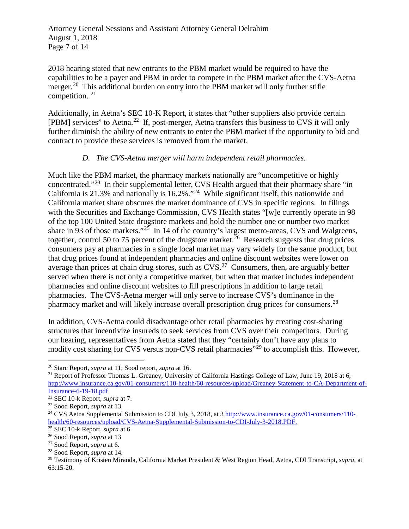Attorney General Sessions and Assistant Attorney General Delrahim August 1, 2018 Page 7 of 14

2018 hearing stated that new entrants to the PBM market would be required to have the capabilities to be a payer and PBM in order to compete in the PBM market after the CVS-Aetna merger.<sup>[20](#page-6-0)</sup> This additional burden on entry into the PBM market will only further stifle competition. [21](#page-6-1)

Additionally, in Aetna's SEC 10-K Report, it states that "other suppliers also provide certain [PBM] services" to Aetna.<sup>[22](#page-6-2)</sup> If, post-merger, Aetna transfers this business to CVS it will only further diminish the ability of new entrants to enter the PBM market if the opportunity to bid and contract to provide these services is removed from the market.

#### *D. The CVS-Aetna merger will harm independent retail pharmacies.*

Much like the PBM market, the pharmacy markets nationally are "uncompetitive or highly concentrated."[23](#page-6-3) In their supplemental letter, CVS Health argued that their pharmacy share "in California is 21.3% and nationally is 16.2%."[24](#page-6-4) While significant itself, this nationwide and California market share obscures the market dominance of CVS in specific regions. In filings with the Securities and Exchange Commission, CVS Health states "[w] e currently operate in 98 of the top 100 United State drugstore markets and hold the number one or number two market share in 93 of those markets."<sup>[25](#page-6-5)</sup> In 14 of the country's largest metro-areas, CVS and Walgreens, together, control 50 to 75 percent of the drugstore market.<sup>26</sup> Research suggests that drug prices consumers pay at pharmacies in a single local market may vary widely for the same product, but that drug prices found at independent pharmacies and online discount websites were lower on average than prices at chain drug stores, such as  $CVS<sup>27</sup>$  $CVS<sup>27</sup>$  $CVS<sup>27</sup>$  Consumers, then, are arguably better served when there is not only a competitive market, but when that market includes independent pharmacies and online discount websites to fill prescriptions in addition to large retail pharmacies. The CVS-Aetna merger will only serve to increase CVS's dominance in the pharmacy market and will likely increase overall prescription drug prices for consumers.<sup>28</sup>

In addition, CVS-Aetna could disadvantage other retail pharmacies by creating cost-sharing structures that incentivize insureds to seek services from CVS over their competitors. During our hearing, representatives from Aetna stated that they "certainly don't have any plans to modify cost sharing for CVS versus non-CVS retail pharmacies"<sup>[29](#page-6-9)</sup> to accomplish this. However,

<span id="page-6-0"></span> <sup>20</sup> Starc Report, *supra* at 11; Sood report, *supra* at 16.

<span id="page-6-1"></span><sup>&</sup>lt;sup>21</sup> Report of Professor Thomas L. Greaney, University of California Hastings College of Law, June 19, 2018 at 6, [http://www.insurance.ca.gov/01-consumers/110-health/60-resources/upload/Greaney-Statement-to-CA-Department-of-](http://www.insurance.ca.gov/01-consumers/110-health/60-resources/upload/Greaney-Statement-to-CA-Department-of-Insurance-6-19-18.pdf)[Insurance-6-19-18.pdf](http://www.insurance.ca.gov/01-consumers/110-health/60-resources/upload/Greaney-Statement-to-CA-Department-of-Insurance-6-19-18.pdf)

<span id="page-6-2"></span><sup>22</sup> SEC 10-k Report, *supra* at 7.

<span id="page-6-3"></span><sup>23</sup> Sood Report, *supra* at 13.

<span id="page-6-4"></span><sup>&</sup>lt;sup>24</sup> CVS Aetna Supplemental Submission to CDI July 3, 2018, at 3 [http://www.insurance.ca.gov/01-consumers/110](http://www.insurance.ca.gov/01-consumers/110-health/60-resources/upload/CVS-Aetna-Supplemental-Submission-to-CDI-July-3-2018.PDF) [health/60-resources/upload/CVS-Aetna-Supplemental-Submission-to-CDI-July-3-2018.PDF.](http://www.insurance.ca.gov/01-consumers/110-health/60-resources/upload/CVS-Aetna-Supplemental-Submission-to-CDI-July-3-2018.PDF)

<span id="page-6-5"></span><sup>25</sup> SEC 10-k Report, *supra* at 6.

<span id="page-6-6"></span><sup>26</sup> Sood Report, *supra* at 13

<span id="page-6-7"></span><sup>27</sup> Sood Report, *supra* at 6.

<span id="page-6-8"></span><sup>28</sup> Sood Report, *supra* at 14.

<span id="page-6-9"></span><sup>29</sup> Testimony of Kristen Miranda, California Market President & West Region Head, Aetna, CDI Transcript, *supra*, at 63:15-20.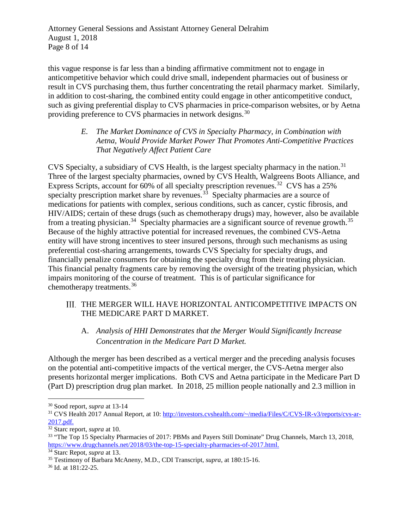Attorney General Sessions and Assistant Attorney General Delrahim August 1, 2018 Page 8 of 14

this vague response is far less than a binding affirmative commitment not to engage in anticompetitive behavior which could drive small, independent pharmacies out of business or result in CVS purchasing them, thus further concentrating the retail pharmacy market. Similarly, in addition to cost-sharing, the combined entity could engage in other anticompetitive conduct, such as giving preferential display to CVS pharmacies in price-comparison websites, or by Aetna providing preference to CVS pharmacies in network designs.[30](#page-7-0)

#### *E. The Market Dominance of CVS in Specialty Pharmacy, in Combination with Aetna, Would Provide Market Power That Promotes Anti-Competitive Practices That Negatively Affect Patient Care*

CVS Specialty, a subsidiary of CVS Health, is the largest specialty pharmacy in the nation.<sup>[31](#page-7-1)</sup> Three of the largest specialty pharmacies, owned by CVS Health, Walgreens Boots Alliance, and Express Scripts, account for 60% of all specialty prescription revenues.<sup>32</sup> CVS has a 25% specialty prescription market share by revenues.<sup>33</sup> Specialty pharmacies are a source of medications for patients with complex, serious conditions, such as cancer, cystic fibrosis, and HIV/AIDS; certain of these drugs (such as chemotherapy drugs) may, however, also be available from a treating physician.<sup>[34](#page-7-4)</sup> Specialty pharmacies are a significant source of revenue growth.<sup>35</sup> Because of the highly attractive potential for increased revenues, the combined CVS-Aetna entity will have strong incentives to steer insured persons, through such mechanisms as using preferential cost-sharing arrangements, towards CVS Specialty for specialty drugs, and financially penalize consumers for obtaining the specialty drug from their treating physician. This financial penalty fragments care by removing the oversight of the treating physician, which impairs monitoring of the course of treatment. This is of particular significance for chemotherapy treatments.[36](#page-7-6)

## III. THE MERGER WILL HAVE HORIZONTAL ANTICOMPETITIVE IMPACTS ON THE MEDICARE PART D MARKET.

# A. *Analysis of HHI Demonstrates that the Merger Would Significantly Increase Concentration in the Medicare Part D Market.*

Although the merger has been described as a vertical merger and the preceding analysis focuses on the potential anti-competitive impacts of the vertical merger, the CVS-Aetna merger also presents horizontal merger implications. Both CVS and Aetna participate in the Medicare Part D (Part D) prescription drug plan market. In 2018, 25 million people nationally and 2.3 million in

<span id="page-7-0"></span> <sup>30</sup> Sood report, *supra* at 13-14

<span id="page-7-1"></span><sup>31</sup> CVS Health 2017 Annual Report, at 10: [http://investors.cvshealth.com/~/media/Files/C/CVS-IR-v3/reports/cvs-ar-](http://investors.cvshealth.com/%7E/media/Files/C/CVS-IR-v3/reports/cvs-ar-2017.pdf)[2017.pdf.](http://investors.cvshealth.com/%7E/media/Files/C/CVS-IR-v3/reports/cvs-ar-2017.pdf)

<span id="page-7-2"></span><sup>32</sup> Starc report, *supra* at 10.

<span id="page-7-3"></span><sup>&</sup>lt;sup>33</sup> "The Top 15 Specialty Pharmacies of 2017: PBMs and Payers Still Dominate" Drug Channels, March 13, 2018, [https://www.drugchannels.net/2018/03/the-top-15-specialty-pharmacies-of-2017.html.](https://www.drugchannels.net/2018/03/the-top-15-specialty-pharmacies-of-2017.html)

<span id="page-7-4"></span><sup>34</sup> Starc Repot, *supra* at 13.

<span id="page-7-5"></span><sup>35</sup> Testimony of Barbara McAneny, M.D., CDI Transcript, *supra*, at 180:15-16.

<span id="page-7-6"></span><sup>36</sup> Id. at 181:22-25.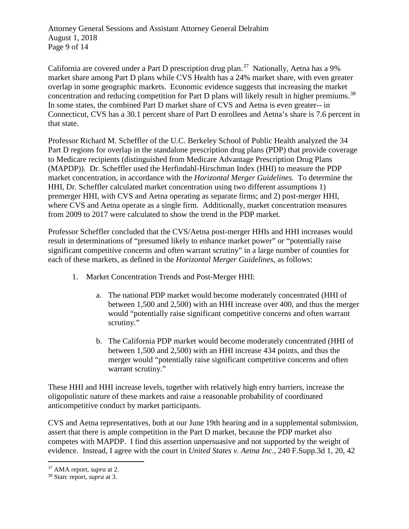Attorney General Sessions and Assistant Attorney General Delrahim August 1, 2018 Page 9 of 14

California are covered under a Part D prescription drug plan.<sup>37</sup> Nationally, Aetna has a 9% market share among Part D plans while CVS Health has a 24% market share, with even greater overlap in some geographic markets. Economic evidence suggests that increasing the market concentration and reducing competition for Part D plans will likely result in higher premiums.<sup>[38](#page-8-1)</sup> In some states, the combined Part D market share of CVS and Aetna is even greater-- in Connecticut, CVS has a 30.1 percent share of Part D enrollees and Aetna's share is 7.6 percent in that state.

Professor Richard M. Scheffler of the U.C. Berkeley School of Public Health analyzed the 34 Part D regions for overlap in the standalone prescription drug plans (PDP) that provide coverage to Medicare recipients (distinguished from Medicare Advantage Prescription Drug Plans (MAPDP)). Dr. Scheffler used the Herfindahl-Hirschman Index (HHI) to measure the PDP market concentration, in accordance with the *Horizontal Merger Guidelines.* To determine the HHI, Dr. Scheffler calculated market concentration using two different assumptions 1) premerger HHI, with CVS and Aetna operating as separate firms; and 2) post-merger HHI, where CVS and Aetna operate as a single firm. Additionally, market concentration measures from 2009 to 2017 were calculated to show the trend in the PDP market.

Professor Scheffler concluded that the CVS/Aetna post-merger HHIs and HHI increases would result in determinations of "presumed likely to enhance market power" or "potentially raise significant competitive concerns and often warrant scrutiny" in a large number of counties for each of these markets, as defined in the *Horizontal Merger Guidelines*, as follows:

- 1. Market Concentration Trends and Post-Merger HHI:
	- a. The national PDP market would become moderately concentrated (HHI of between 1,500 and 2,500) with an HHI increase over 400, and thus the merger would "potentially raise significant competitive concerns and often warrant scrutiny."
	- b. The California PDP market would become moderately concentrated (HHI of between 1,500 and 2,500) with an HHI increase 434 points, and thus the merger would "potentially raise significant competitive concerns and often warrant scrutiny."

These HHI and HHI increase levels, together with relatively high entry barriers, increase the oligopolistic nature of these markets and raise a reasonable probability of coordinated anticompetitive conduct by market participants.

CVS and Aetna representatives, both at our June 19th hearing and in a supplemental submission, assert that there is ample competition in the Part D market, because the PDP market also competes with MAPDP. I find this assertion unpersuasive and not supported by the weight of evidence. Instead, I agree with the court in *United States v. Aetna Inc.*, 240 F.Supp.3d 1, 20, 42

<span id="page-8-0"></span> <sup>37</sup> AMA report, *supra* at 2.

<span id="page-8-1"></span><sup>38</sup> Starc report, *supra* at 3.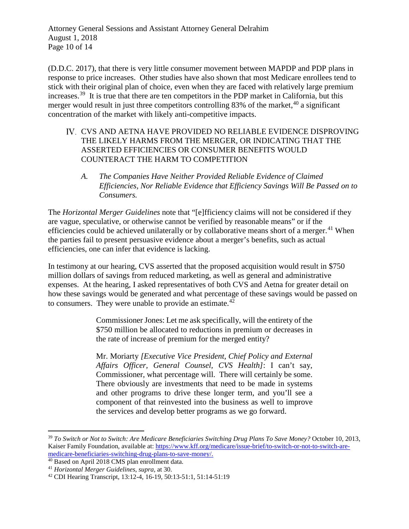Attorney General Sessions and Assistant Attorney General Delrahim August 1, 2018 Page 10 of 14

(D.D.C. 2017), that there is very little consumer movement between MAPDP and PDP plans in response to price increases. Other studies have also shown that most Medicare enrollees tend to stick with their original plan of choice, even when they are faced with relatively large premium increases.<sup>39</sup> It is true that there are ten competitors in the PDP market in California, but this merger would result in just three competitors controlling 83% of the market,<sup>[40](#page-9-1)</sup> a significant concentration of the market with likely anti-competitive impacts.

- IV. CVS AND AETNA HAVE PROVIDED NO RELIABLE EVIDENCE DISPROVING THE LIKELY HARMS FROM THE MERGER, OR INDICATING THAT THE ASSERTED EFFICIENCIES OR CONSUMER BENEFITS WOULD COUNTERACT THE HARM TO COMPETITION
	- *A. The Companies Have Neither Provided Reliable Evidence of Claimed Efficiencies, Nor Reliable Evidence that Efficiency Savings Will Be Passed on to Consumers.*

The *Horizontal Merger Guidelines* note that "[e]fficiency claims will not be considered if they are vague, speculative, or otherwise cannot be verified by reasonable means" or if the efficiencies could be achieved unilaterally or by collaborative means short of a merger.<sup>[41](#page-9-2)</sup> When the parties fail to present persuasive evidence about a merger's benefits, such as actual efficiencies, one can infer that evidence is lacking.

In testimony at our hearing, CVS asserted that the proposed acquisition would result in \$750 million dollars of savings from reduced marketing, as well as general and administrative expenses. At the hearing, I asked representatives of both CVS and Aetna for greater detail on how these savings would be generated and what percentage of these savings would be passed on to consumers. They were unable to provide an estimate. $42$ 

> Commissioner Jones: Let me ask specifically, will the entirety of the \$750 million be allocated to reductions in premium or decreases in the rate of increase of premium for the merged entity?

> Mr. Moriarty *[Executive Vice President, Chief Policy and External Affairs Officer, General Counsel, CVS Health]*: I can't say, Commissioner, what percentage will. There will certainly be some. There obviously are investments that need to be made in systems and other programs to drive these longer term, and you'll see a component of that reinvested into the business as well to improve the services and develop better programs as we go forward.

<span id="page-9-0"></span> <sup>39</sup> *To Switch or Not to Switch: Are Medicare Beneficiaries Switching Drug Plans To Save Money?* October 10, 2013, Kaiser Family Foundation, available at: [https://www.kff.org/medicare/issue-brief/to-switch-or-not-to-switch-are](https://www.kff.org/medicare/issue-brief/to-switch-or-not-to-switch-are-medicare-beneficiaries-switching-drug-plans-to-save-money/)[medicare-beneficiaries-switching-drug-plans-to-save-money/.](https://www.kff.org/medicare/issue-brief/to-switch-or-not-to-switch-are-medicare-beneficiaries-switching-drug-plans-to-save-money/)

<span id="page-9-1"></span><sup>40</sup> Based on April 2018 CMS plan enrollment data.

<span id="page-9-2"></span><sup>41</sup> *Horizontal Merger Guidelines*, *supra,* at 30.

<span id="page-9-3"></span><sup>42</sup> CDI Hearing Transcript, 13:12-4, 16-19, 50:13-51:1, 51:14-51:19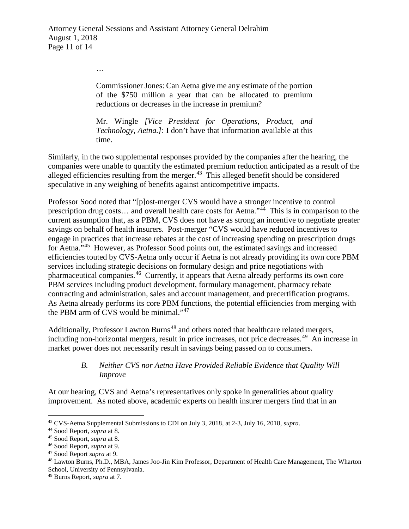…

Commissioner Jones: Can Aetna give me any estimate of the portion of the \$750 million a year that can be allocated to premium reductions or decreases in the increase in premium?

Mr. Wingle *[Vice President for Operations, Product, and Technology, Aetna.]*: I don't have that information available at this time.

Similarly, in the two supplemental responses provided by the companies after the hearing, the companies were unable to quantify the estimated premium reduction anticipated as a result of the alleged efficiencies resulting from the merger.<sup>43</sup> This alleged benefit should be considered speculative in any weighing of benefits against anticompetitive impacts.

Professor Sood noted that "[p]ost-merger CVS would have a stronger incentive to control prescription drug costs… and overall health care costs for Aetna."[44](#page-10-1) This is in comparison to the current assumption that, as a PBM, CVS does not have as strong an incentive to negotiate greater savings on behalf of health insurers. Post-merger "CVS would have reduced incentives to engage in practices that increase rebates at the cost of increasing spending on prescription drugs for Aetna."[45](#page-10-2) However, as Professor Sood points out, the estimated savings and increased efficiencies touted by CVS-Aetna only occur if Aetna is not already providing its own core PBM services including strategic decisions on formulary design and price negotiations with pharmaceutical companies.[46](#page-10-3) Currently, it appears that Aetna already performs its own core PBM services including product development, formulary management, pharmacy rebate contracting and administration, sales and account management, and precertification programs. As Aetna already performs its core PBM functions, the potential efficiencies from merging with the PBM arm of CVS would be minimal."<sup>[47](#page-10-4)</sup>

Additionally, Professor Lawton Burns<sup>[48](#page-10-5)</sup> and others noted that healthcare related mergers, including non-horizontal mergers, result in price increases, not price decreases. [49](#page-10-6) An increase in market power does not necessarily result in savings being passed on to consumers.

## *B. Neither CVS nor Aetna Have Provided Reliable Evidence that Quality Will Improve*

At our hearing, CVS and Aetna's representatives only spoke in generalities about quality improvement. As noted above, academic experts on health insurer mergers find that in an

<span id="page-10-0"></span> <sup>43</sup> CVS-Aetna Supplemental Submissions to CDI on July 3, 2018, at 2-3, July 16, 2018, *supra.* 

<span id="page-10-1"></span><sup>44</sup> Sood Report, *supra* at 8.

<span id="page-10-3"></span><span id="page-10-2"></span><sup>45</sup> Sood Report, *supra* at 8. 46 Sood Report, *supra* at 9.

<span id="page-10-5"></span><span id="page-10-4"></span><sup>&</sup>lt;sup>48</sup> Lawton Burns, Ph.D., MBA, James Joo-Jin Kim Professor, Department of Health Care Management, The Wharton School, University of Pennsylvania.

<span id="page-10-6"></span><sup>49</sup> Burns Report, *supra* at 7.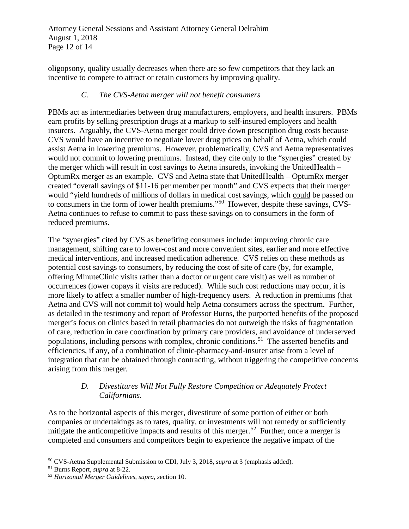Attorney General Sessions and Assistant Attorney General Delrahim August 1, 2018 Page 12 of 14

oligopsony, quality usually decreases when there are so few competitors that they lack an incentive to compete to attract or retain customers by improving quality.

## *C. The CVS-Aetna merger will not benefit consumers*

PBMs act as intermediaries between drug manufacturers, employers, and health insurers. PBMs earn profits by selling prescription drugs at a markup to self-insured employers and health insurers. Arguably, the CVS-Aetna merger could drive down prescription drug costs because CVS would have an incentive to negotiate lower drug prices on behalf of Aetna, which could assist Aetna in lowering premiums. However, problematically, CVS and Aetna representatives would not commit to lowering premiums. Instead, they cite only to the "synergies" created by the merger which will result in cost savings to Aetna insureds, invoking the UnitedHealth – OptumRx merger as an example. CVS and Aetna state that UnitedHealth – OptumRx merger created "overall savings of \$11-16 per member per month" and CVS expects that their merger would "yield hundreds of millions of dollars in medical cost savings, which could be passed on to consumers in the form of lower health premiums."[50](#page-11-0) However, despite these savings, CVS-Aetna continues to refuse to commit to pass these savings on to consumers in the form of reduced premiums.

The "synergies" cited by CVS as benefiting consumers include: improving chronic care management, shifting care to lower-cost and more convenient sites, earlier and more effective medical interventions, and increased medication adherence. CVS relies on these methods as potential cost savings to consumers, by reducing the cost of site of care (by, for example, offering MinuteClinic visits rather than a doctor or urgent care visit) as well as number of occurrences (lower copays if visits are reduced). While such cost reductions may occur, it is more likely to affect a smaller number of high-frequency users. A reduction in premiums (that Aetna and CVS will not commit to) would help Aetna consumers across the spectrum. Further, as detailed in the testimony and report of Professor Burns, the purported benefits of the proposed merger's focus on clinics based in retail pharmacies do not outweigh the risks of fragmentation of care, reduction in care coordination by primary care providers, and avoidance of underserved populations, including persons with complex, chronic conditions.<sup>[51](#page-11-1)</sup> The asserted benefits and efficiencies, if any, of a combination of clinic-pharmacy-and-insurer arise from a level of integration that can be obtained through contracting, without triggering the competitive concerns arising from this merger.

## *D. Divestitures Will Not Fully Restore Competition or Adequately Protect Californians.*

As to the horizontal aspects of this merger, divestiture of some portion of either or both companies or undertakings as to rates, quality, or investments will not remedy or sufficiently mitigate the anticompetitive impacts and results of this merger.<sup>52</sup> Further, once a merger is completed and consumers and competitors begin to experience the negative impact of the

<span id="page-11-0"></span> <sup>50</sup> CVS-Aetna Supplemental Submission to CDI, July 3, 2018, *supra* at 3 (emphasis added).

<span id="page-11-1"></span><sup>51</sup> Burns Report, *supra* at 8-22.

<span id="page-11-2"></span><sup>52</sup> *Horizontal Merger Guidelines*, *supra, s*ection 10.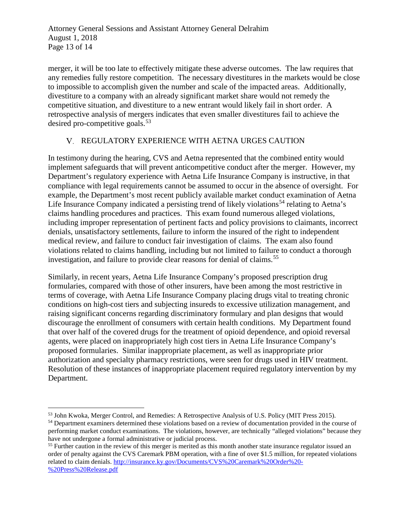Attorney General Sessions and Assistant Attorney General Delrahim August 1, 2018 Page 13 of 14

merger, it will be too late to effectively mitigate these adverse outcomes. The law requires that any remedies fully restore competition. The necessary divestitures in the markets would be close to impossible to accomplish given the number and scale of the impacted areas. Additionally, divestiture to a company with an already significant market share would not remedy the competitive situation, and divestiture to a new entrant would likely fail in short order. A retrospective analysis of mergers indicates that even smaller divestitures fail to achieve the desired pro-competitive goals.<sup>[53](#page-12-0)</sup>

## REGULATORY EXPERIENCE WITH AETNA URGES CAUTION

In testimony during the hearing, CVS and Aetna represented that the combined entity would implement safeguards that will prevent anticompetitive conduct after the merger. However, my Department's regulatory experience with Aetna Life Insurance Company is instructive, in that compliance with legal requirements cannot be assumed to occur in the absence of oversight. For example, the Department's most recent publicly available market conduct examination of Aetna Life Insurance Company indicated a persisting trend of likely violations<sup>[54](#page-12-1)</sup> relating to Aetna's claims handling procedures and practices. This exam found numerous alleged violations, including improper representation of pertinent facts and policy provisions to claimants, incorrect denials, unsatisfactory settlements, failure to inform the insured of the right to independent medical review, and failure to conduct fair investigation of claims. The exam also found violations related to claims handling, including but not limited to failure to conduct a thorough investigation, and failure to provide clear reasons for denial of claims.<sup>[55](#page-12-2)</sup>

Similarly, in recent years, Aetna Life Insurance Company's proposed prescription drug formularies, compared with those of other insurers, have been among the most restrictive in terms of coverage, with Aetna Life Insurance Company placing drugs vital to treating chronic conditions on high-cost tiers and subjecting insureds to excessive utilization management, and raising significant concerns regarding discriminatory formulary and plan designs that would discourage the enrollment of consumers with certain health conditions. My Department found that over half of the covered drugs for the treatment of opioid dependence, and opioid reversal agents, were placed on inappropriately high cost tiers in Aetna Life Insurance Company's proposed formularies. Similar inappropriate placement, as well as inappropriate prior authorization and specialty pharmacy restrictions, were seen for drugs used in HIV treatment. Resolution of these instances of inappropriate placement required regulatory intervention by my Department.

<span id="page-12-0"></span> <sup>53</sup> John Kwoka, Merger Control, and Remedies: A Retrospective Analysis of U.S. Policy (MIT Press 2015).

<span id="page-12-1"></span><sup>&</sup>lt;sup>54</sup> Department examiners determined these violations based on a review of documentation provided in the course of performing market conduct examinations. The violations, however, are technically "alleged violations" because they have not undergone a formal administrative or judicial process.

<span id="page-12-2"></span><sup>&</sup>lt;sup>55</sup> Further caution in the review of this merger is merited as this month another state insurance regulator issued an order of penalty against the CVS Caremark PBM operation, with a fine of over \$1.5 million, for repeated violations related to claim denials. [http://insurance.ky.gov/Documents/CVS%20Caremark%20Order%20-](http://insurance.ky.gov/Documents/CVS%20Caremark%20Order%20-%20Press%20Release.pdf) [%20Press%20Release.pdf](http://insurance.ky.gov/Documents/CVS%20Caremark%20Order%20-%20Press%20Release.pdf)